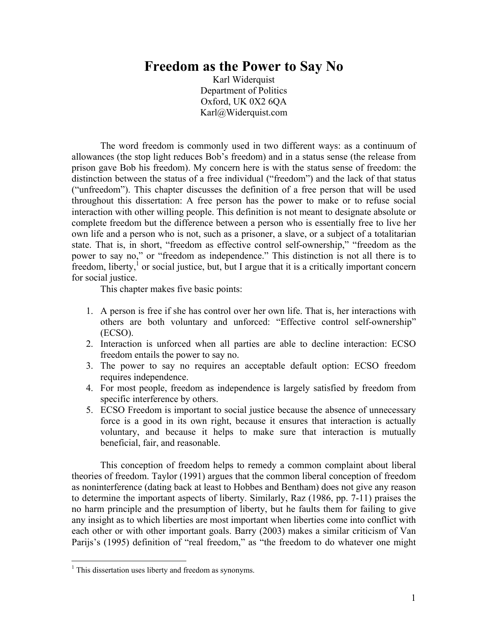# **Freedom as the Power to Say No**

Karl Widerquist Department of Politics Oxford, UK 0X2 6QA Karl@Widerquist.com

The word freedom is commonly used in two different ways: as a continuum of allowances (the stop light reduces Bob's freedom) and in a status sense (the release from prison gave Bob his freedom). My concern here is with the status sense of freedom: the distinction between the status of a free individual ("freedom") and the lack of that status ("unfreedom"). This chapter discusses the definition of a free person that will be used throughout this dissertation: A free person has the power to make or to refuse social interaction with other willing people. This definition is not meant to designate absolute or complete freedom but the difference between a person who is essentially free to live her own life and a person who is not, such as a prisoner, a slave, or a subject of a totalitarian state. That is, in short, "freedom as effective control self-ownership," "freedom as the power to say no," or "freedom as independence." This distinction is not all there is to freedom, liberty, $\frac{1}{1}$  or social justice, but, but I argue that it is a critically important concern for social justice.

This chapter makes five basic points:

- 1. A person is free if she has control over her own life. That is, her interactions with others are both voluntary and unforced: "Effective control self-ownership" (ECSO).
- 2. Interaction is unforced when all parties are able to decline interaction: ECSO freedom entails the power to say no.
- 3. The power to say no requires an acceptable default option: ECSO freedom requires independence.
- 4. For most people, freedom as independence is largely satisfied by freedom from specific interference by others.
- 5. ECSO Freedom is important to social justice because the absence of unnecessary force is a good in its own right, because it ensures that interaction is actually voluntary, and because it helps to make sure that interaction is mutually beneficial, fair, and reasonable.

This conception of freedom helps to remedy a common complaint about liberal theories of freedom. Taylor (1991) argues that the common liberal conception of freedom as noninterference (dating back at least to Hobbes and Bentham) does not give any reason to determine the important aspects of liberty. Similarly, Raz (1986, pp. 7-11) praises the no harm principle and the presumption of liberty, but he faults them for failing to give any insight as to which liberties are most important when liberties come into conflict with each other or with other important goals. Barry (2003) makes a similar criticism of Van Parijs's (1995) definition of "real freedom," as "the freedom to do whatever one might

 $\overline{a}$ 

<span id="page-0-0"></span><sup>&</sup>lt;sup>1</sup> This dissertation uses liberty and freedom as synonyms.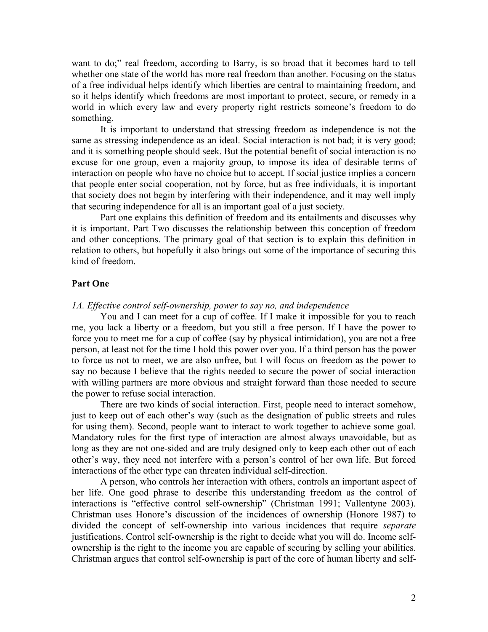want to do;" real freedom, according to Barry, is so broad that it becomes hard to tell whether one state of the world has more real freedom than another. Focusing on the status of a free individual helps identify which liberties are central to maintaining freedom, and so it helps identify which freedoms are most important to protect, secure, or remedy in a world in which every law and every property right restricts someone's freedom to do something.

It is important to understand that stressing freedom as independence is not the same as stressing independence as an ideal. Social interaction is not bad; it is very good; and it is something people should seek. But the potential benefit of social interaction is no excuse for one group, even a majority group, to impose its idea of desirable terms of interaction on people who have no choice but to accept. If social justice implies a concern that people enter social cooperation, not by force, but as free individuals, it is important that society does not begin by interfering with their independence, and it may well imply that securing independence for all is an important goal of a just society.

Part one explains this definition of freedom and its entailments and discusses why it is important. Part Two discusses the relationship between this conception of freedom and other conceptions. The primary goal of that section is to explain this definition in relation to others, but hopefully it also brings out some of the importance of securing this kind of freedom.

#### **Part One**

#### *1A. Effective control self-ownership, power to say no, and independence*

You and I can meet for a cup of coffee. If I make it impossible for you to reach me, you lack a liberty or a freedom, but you still a free person. If I have the power to force you to meet me for a cup of coffee (say by physical intimidation), you are not a free person, at least not for the time I hold this power over you. If a third person has the power to force us not to meet, we are also unfree, but I will focus on freedom as the power to say no because I believe that the rights needed to secure the power of social interaction with willing partners are more obvious and straight forward than those needed to secure the power to refuse social interaction.

There are two kinds of social interaction. First, people need to interact somehow, just to keep out of each other's way (such as the designation of public streets and rules for using them). Second, people want to interact to work together to achieve some goal. Mandatory rules for the first type of interaction are almost always unavoidable, but as long as they are not one-sided and are truly designed only to keep each other out of each other's way, they need not interfere with a person's control of her own life. But forced interactions of the other type can threaten individual self-direction.

A person, who controls her interaction with others, controls an important aspect of her life. One good phrase to describe this understanding freedom as the control of interactions is "effective control self-ownership" (Christman 1991; Vallentyne 2003). Christman uses Honore's discussion of the incidences of ownership (Honore 1987) to divided the concept of self-ownership into various incidences that require *separate* justifications. Control self-ownership is the right to decide what you will do. Income selfownership is the right to the income you are capable of securing by selling your abilities. Christman argues that control self-ownership is part of the core of human liberty and self-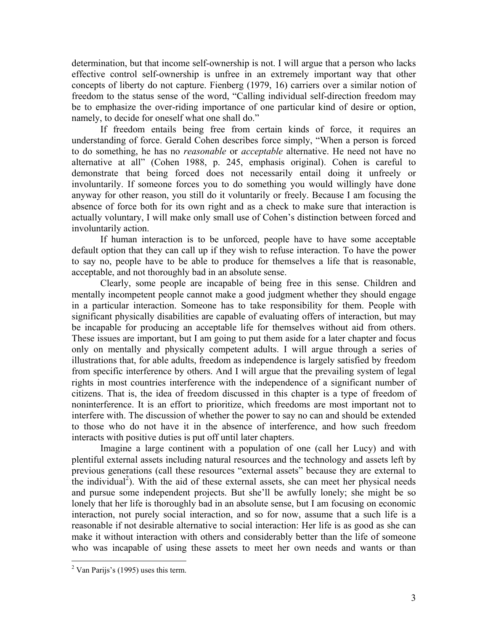determination, but that income self-ownership is not. I will argue that a person who lacks effective control self-ownership is unfree in an extremely important way that other concepts of liberty do not capture. Fienberg (1979, 16) carriers over a similar notion of freedom to the status sense of the word, "Calling individual self-direction freedom may be to emphasize the over-riding importance of one particular kind of desire or option, namely, to decide for oneself what one shall do."

If freedom entails being free from certain kinds of force, it requires an understanding of force. Gerald Cohen describes force simply, "When a person is forced to do something, he has no *reasonable* or *acceptable* alternative. He need not have no alternative at all" (Cohen 1988, p. 245, emphasis original). Cohen is careful to demonstrate that being forced does not necessarily entail doing it unfreely or involuntarily. If someone forces you to do something you would willingly have done anyway for other reason, you still do it voluntarily or freely. Because I am focusing the absence of force both for its own right and as a check to make sure that interaction is actually voluntary, I will make only small use of Cohen's distinction between forced and involuntarily action.

If human interaction is to be unforced, people have to have some acceptable default option that they can call up if they wish to refuse interaction. To have the power to say no, people have to be able to produce for themselves a life that is reasonable, acceptable, and not thoroughly bad in an absolute sense.

Clearly, some people are incapable of being free in this sense. Children and mentally incompetent people cannot make a good judgment whether they should engage in a particular interaction. Someone has to take responsibility for them. People with significant physically disabilities are capable of evaluating offers of interaction, but may be incapable for producing an acceptable life for themselves without aid from others. These issues are important, but I am going to put them aside for a later chapter and focus only on mentally and physically competent adults. I will argue through a series of illustrations that, for able adults, freedom as independence is largely satisfied by freedom from specific interference by others. And I will argue that the prevailing system of legal rights in most countries interference with the independence of a significant number of citizens. That is, the idea of freedom discussed in this chapter is a type of freedom of noninterference. It is an effort to prioritize, which freedoms are most important not to interfere with. The discussion of whether the power to say no can and should be extended to those who do not have it in the absence of interference, and how such freedom interacts with positive duties is put off until later chapters.

Imagine a large continent with a population of one (call her Lucy) and with plentiful external assets including natural resources and the technology and assets left by previous generations (call these resources "external assets" because they are external to the individual<sup>[2](#page-2-0)</sup>). With the aid of these external assets, she can meet her physical needs and pursue some independent projects. But she'll be awfully lonely; she might be so lonely that her life is thoroughly bad in an absolute sense, but I am focusing on economic interaction, not purely social interaction, and so for now, assume that a such life is a reasonable if not desirable alternative to social interaction: Her life is as good as she can make it without interaction with others and considerably better than the life of someone who was incapable of using these assets to meet her own needs and wants or than

 $\overline{a}$ 

<span id="page-2-0"></span> $2$  Van Parijs's (1995) uses this term.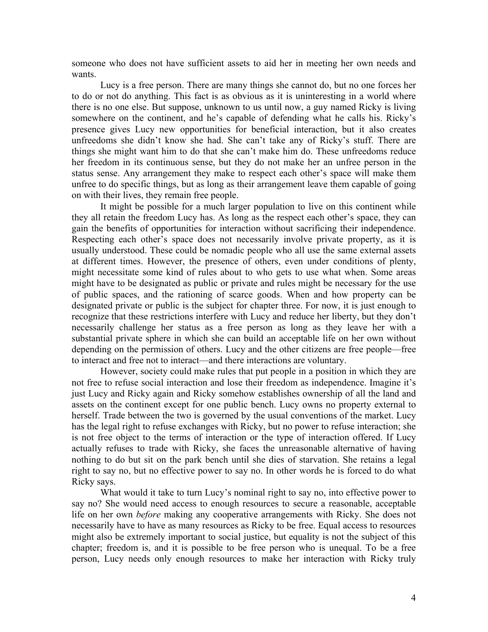someone who does not have sufficient assets to aid her in meeting her own needs and wants.

Lucy is a free person. There are many things she cannot do, but no one forces her to do or not do anything. This fact is as obvious as it is uninteresting in a world where there is no one else. But suppose, unknown to us until now, a guy named Ricky is living somewhere on the continent, and he's capable of defending what he calls his. Ricky's presence gives Lucy new opportunities for beneficial interaction, but it also creates unfreedoms she didn't know she had. She can't take any of Ricky's stuff. There are things she might want him to do that she can't make him do. These unfreedoms reduce her freedom in its continuous sense, but they do not make her an unfree person in the status sense. Any arrangement they make to respect each other's space will make them unfree to do specific things, but as long as their arrangement leave them capable of going on with their lives, they remain free people.

It might be possible for a much larger population to live on this continent while they all retain the freedom Lucy has. As long as the respect each other's space, they can gain the benefits of opportunities for interaction without sacrificing their independence. Respecting each other's space does not necessarily involve private property, as it is usually understood. These could be nomadic people who all use the same external assets at different times. However, the presence of others, even under conditions of plenty, might necessitate some kind of rules about to who gets to use what when. Some areas might have to be designated as public or private and rules might be necessary for the use of public spaces, and the rationing of scarce goods. When and how property can be designated private or public is the subject for chapter three. For now, it is just enough to recognize that these restrictions interfere with Lucy and reduce her liberty, but they don't necessarily challenge her status as a free person as long as they leave her with a substantial private sphere in which she can build an acceptable life on her own without depending on the permission of others. Lucy and the other citizens are free people—free to interact and free not to interact—and there interactions are voluntary.

However, society could make rules that put people in a position in which they are not free to refuse social interaction and lose their freedom as independence. Imagine it's just Lucy and Ricky again and Ricky somehow establishes ownership of all the land and assets on the continent except for one public bench. Lucy owns no property external to herself. Trade between the two is governed by the usual conventions of the market. Lucy has the legal right to refuse exchanges with Ricky, but no power to refuse interaction; she is not free object to the terms of interaction or the type of interaction offered. If Lucy actually refuses to trade with Ricky, she faces the unreasonable alternative of having nothing to do but sit on the park bench until she dies of starvation. She retains a legal right to say no, but no effective power to say no. In other words he is forced to do what Ricky says.

What would it take to turn Lucy's nominal right to say no, into effective power to say no? She would need access to enough resources to secure a reasonable, acceptable life on her own *before* making any cooperative arrangements with Ricky. She does not necessarily have to have as many resources as Ricky to be free. Equal access to resources might also be extremely important to social justice, but equality is not the subject of this chapter; freedom is, and it is possible to be free person who is unequal. To be a free person, Lucy needs only enough resources to make her interaction with Ricky truly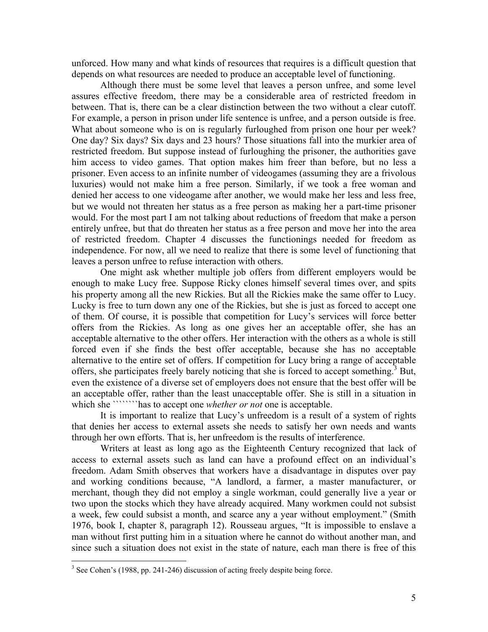unforced. How many and what kinds of resources that requires is a difficult question that depends on what resources are needed to produce an acceptable level of functioning.

Although there must be some level that leaves a person unfree, and some level assures effective freedom, there may be a considerable area of restricted freedom in between. That is, there can be a clear distinction between the two without a clear cutoff. For example, a person in prison under life sentence is unfree, and a person outside is free. What about someone who is on is regularly furloughed from prison one hour per week? One day? Six days? Six days and 23 hours? Those situations fall into the murkier area of restricted freedom. But suppose instead of furloughing the prisoner, the authorities gave him access to video games. That option makes him freer than before, but no less a prisoner. Even access to an infinite number of videogames (assuming they are a frivolous luxuries) would not make him a free person. Similarly, if we took a free woman and denied her access to one videogame after another, we would make her less and less free, but we would not threaten her status as a free person as making her a part-time prisoner would. For the most part I am not talking about reductions of freedom that make a person entirely unfree, but that do threaten her status as a free person and move her into the area of restricted freedom. Chapter 4 discusses the functionings needed for freedom as independence. For now, all we need to realize that there is some level of functioning that leaves a person unfree to refuse interaction with others.

One might ask whether multiple job offers from different employers would be enough to make Lucy free. Suppose Ricky clones himself several times over, and spits his property among all the new Rickies. But all the Rickies make the same offer to Lucy. Lucky is free to turn down any one of the Rickies, but she is just as forced to accept one of them. Of course, it is possible that competition for Lucy's services will force better offers from the Rickies. As long as one gives her an acceptable offer, she has an acceptable alternative to the other offers. Her interaction with the others as a whole is still forced even if she finds the best offer acceptable, because she has no acceptable alternative to the entire set of offers. If competition for Lucy bring a range of acceptable offers, she participates freely barely noticing that she is forced to accept something.<sup>3</sup> But, even the existence of a diverse set of employers does not ensure that the best offer will be an acceptable offer, rather than the least unacceptable offer. She is still in a situation in which she ````````has to accept one *whether or not* one is acceptable.

It is important to realize that Lucy's unfreedom is a result of a system of rights that denies her access to external assets she needs to satisfy her own needs and wants through her own efforts. That is, her unfreedom is the results of interference.

Writers at least as long ago as the Eighteenth Century recognized that lack of access to external assets such as land can have a profound effect on an individual's freedom. Adam Smith observes that workers have a disadvantage in disputes over pay and working conditions because, "A landlord, a farmer, a master manufacturer, or merchant, though they did not employ a single workman, could generally live a year or two upon the stocks which they have already acquired. Many workmen could not subsist a week, few could subsist a month, and scarce any a year without employment." (Smith 1976, book I, chapter 8, paragraph 12). Rousseau argues, "It is impossible to enslave a man without first putting him in a situation where he cannot do without another man, and since such a situation does not exist in the state of nature, each man there is free of this

<span id="page-4-0"></span><sup>&</sup>lt;sup>3</sup> See Cohen's (1988, pp. 241-246) discussion of acting freely despite being force.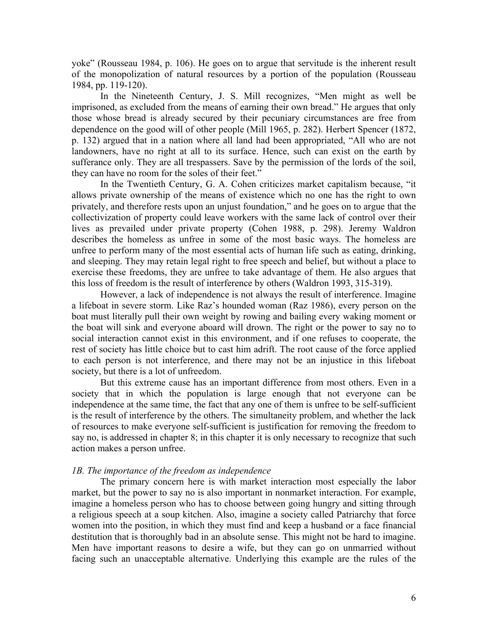yoke" (Rousseau 1984, p. 106). He goes on to argue that servitude is the inherent result of the monopolization of natural resources by a portion of the population (Rousseau 1984, pp. 119-120).

In the Nineteenth Century, J. S. Mill recognizes, "Men might as well be imprisoned, as excluded from the means of earning their own bread." He argues that only those whose bread is already secured by their pecuniary circumstances are free from dependence on the good will of other people (Mill 1965, p. 282). Herbert Spencer (1872, p. 132) argued that in a nation where all land had been appropriated, "All who are not landowners, have no right at all to its surface. Hence, such can exist on the earth by sufferance only. They are all trespassers. Save by the permission of the lords of the soil, they can have no room for the soles of their feet."

In the Twentieth Century, G. A. Cohen criticizes market capitalism because, "it allows private ownership of the means of existence which no one has the right to own privately, and therefore rests upon an unjust foundation," and he goes on to argue that the collectivization of property could leave workers with the same lack of control over their lives as prevailed under private property (Cohen 1988, p. 298). Jeremy Waldron describes the homeless as unfree in some of the most basic ways. The homeless are unfree to perform many of the most essential acts of human life such as eating, drinking, and sleeping. They may retain legal right to free speech and belief, but without a place to exercise these freedoms, they are unfree to take advantage of them. He also argues that this loss of freedom is the result of interference by others (Waldron 1993, 315-319).

However, a lack of independence is not always the result of interference. Imagine a lifeboat in severe storm. Like Raz's hounded woman (Raz 1986), every person on the boat must literally pull their own weight by rowing and bailing every waking moment or the boat will sink and everyone aboard will drown. The right or the power to say no to social interaction cannot exist in this environment, and if one refuses to cooperate, the rest of society has little choice but to cast him adrift. The root cause of the force applied to each person is not interference, and there may not be an injustice in this lifeboat society, but there is a lot of unfreedom.

But this extreme cause has an important difference from most others. Even in a society that in which the population is large enough that not everyone can be independence at the same time, the fact that any one of them is unfree to be self-sufficient is the result of interference by the others. The simultaneity problem, and whether the lack of resources to make everyone self-sufficient is justification for removing the freedom to say no, is addressed in chapter 8; in this chapter it is only necessary to recognize that such action makes a person unfree.

### *1B. The importance of the freedom as independence*

The primary concern here is with market interaction most especially the labor market, but the power to say no is also important in nonmarket interaction. For example, imagine a homeless person who has to choose between going hungry and sitting through a religious speech at a soup kitchen. Also, imagine a society called Patriarchy that force women into the position, in which they must find and keep a husband or a face financial destitution that is thoroughly bad in an absolute sense. This might not be hard to imagine. Men have important reasons to desire a wife, but they can go on unmarried without facing such an unacceptable alternative. Underlying this example are the rules of the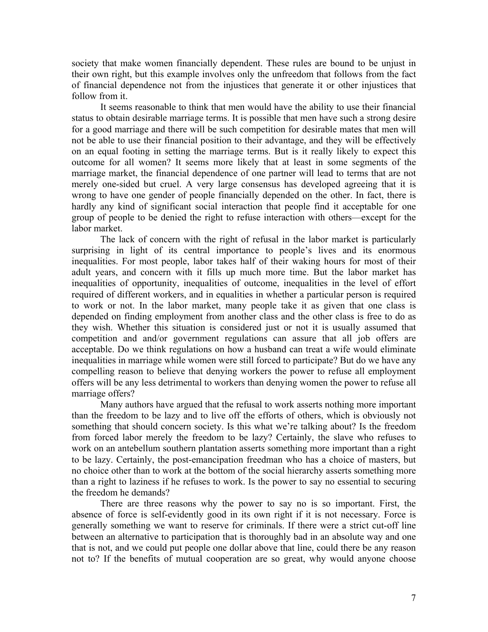society that make women financially dependent. These rules are bound to be unjust in their own right, but this example involves only the unfreedom that follows from the fact of financial dependence not from the injustices that generate it or other injustices that follow from it.

It seems reasonable to think that men would have the ability to use their financial status to obtain desirable marriage terms. It is possible that men have such a strong desire for a good marriage and there will be such competition for desirable mates that men will not be able to use their financial position to their advantage, and they will be effectively on an equal footing in setting the marriage terms. But is it really likely to expect this outcome for all women? It seems more likely that at least in some segments of the marriage market, the financial dependence of one partner will lead to terms that are not merely one-sided but cruel. A very large consensus has developed agreeing that it is wrong to have one gender of people financially depended on the other. In fact, there is hardly any kind of significant social interaction that people find it acceptable for one group of people to be denied the right to refuse interaction with others—except for the labor market.

The lack of concern with the right of refusal in the labor market is particularly surprising in light of its central importance to people's lives and its enormous inequalities. For most people, labor takes half of their waking hours for most of their adult years, and concern with it fills up much more time. But the labor market has inequalities of opportunity, inequalities of outcome, inequalities in the level of effort required of different workers, and in equalities in whether a particular person is required to work or not. In the labor market, many people take it as given that one class is depended on finding employment from another class and the other class is free to do as they wish. Whether this situation is considered just or not it is usually assumed that competition and and/or government regulations can assure that all job offers are acceptable. Do we think regulations on how a husband can treat a wife would eliminate inequalities in marriage while women were still forced to participate? But do we have any compelling reason to believe that denying workers the power to refuse all employment offers will be any less detrimental to workers than denying women the power to refuse all marriage offers?

Many authors have argued that the refusal to work asserts nothing more important than the freedom to be lazy and to live off the efforts of others, which is obviously not something that should concern society. Is this what we're talking about? Is the freedom from forced labor merely the freedom to be lazy? Certainly, the slave who refuses to work on an antebellum southern plantation asserts something more important than a right to be lazy. Certainly, the post-emancipation freedman who has a choice of masters, but no choice other than to work at the bottom of the social hierarchy asserts something more than a right to laziness if he refuses to work. Is the power to say no essential to securing the freedom he demands?

There are three reasons why the power to say no is so important. First, the absence of force is self-evidently good in its own right if it is not necessary. Force is generally something we want to reserve for criminals. If there were a strict cut-off line between an alternative to participation that is thoroughly bad in an absolute way and one that is not, and we could put people one dollar above that line, could there be any reason not to? If the benefits of mutual cooperation are so great, why would anyone choose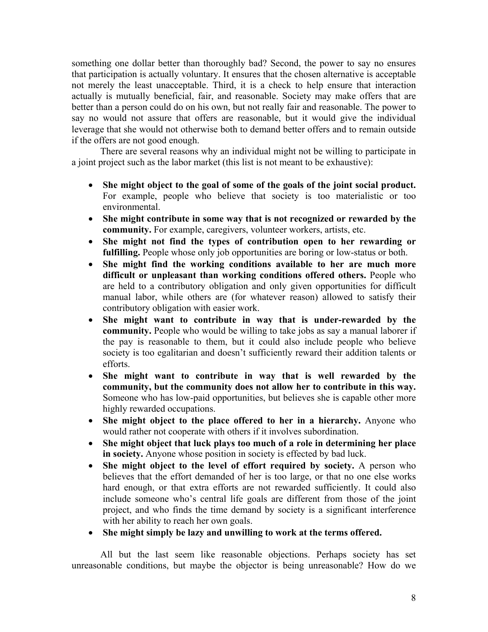something one dollar better than thoroughly bad? Second, the power to say no ensures that participation is actually voluntary. It ensures that the chosen alternative is acceptable not merely the least unacceptable. Third, it is a check to help ensure that interaction actually is mutually beneficial, fair, and reasonable. Society may make offers that are better than a person could do on his own, but not really fair and reasonable. The power to say no would not assure that offers are reasonable, but it would give the individual leverage that she would not otherwise both to demand better offers and to remain outside if the offers are not good enough.

There are several reasons why an individual might not be willing to participate in a joint project such as the labor market (this list is not meant to be exhaustive):

- **She might object to the goal of some of the goals of the joint social product.** For example, people who believe that society is too materialistic or too environmental.
- **She might contribute in some way that is not recognized or rewarded by the community.** For example, caregivers, volunteer workers, artists, etc.
- **She might not find the types of contribution open to her rewarding or fulfilling.** People whose only job opportunities are boring or low-status or both.
- **She might find the working conditions available to her are much more difficult or unpleasant than working conditions offered others.** People who are held to a contributory obligation and only given opportunities for difficult manual labor, while others are (for whatever reason) allowed to satisfy their contributory obligation with easier work.
- **She might want to contribute in way that is under-rewarded by the community.** People who would be willing to take jobs as say a manual laborer if the pay is reasonable to them, but it could also include people who believe society is too egalitarian and doesn't sufficiently reward their addition talents or efforts.
- **She might want to contribute in way that is well rewarded by the community, but the community does not allow her to contribute in this way.** Someone who has low-paid opportunities, but believes she is capable other more highly rewarded occupations.
- **She might object to the place offered to her in a hierarchy.** Anyone who would rather not cooperate with others if it involves subordination.
- **She might object that luck plays too much of a role in determining her place in society.** Anyone whose position in society is effected by bad luck.
- **She might object to the level of effort required by society.** A person who believes that the effort demanded of her is too large, or that no one else works hard enough, or that extra efforts are not rewarded sufficiently. It could also include someone who's central life goals are different from those of the joint project, and who finds the time demand by society is a significant interference with her ability to reach her own goals.
- **She might simply be lazy and unwilling to work at the terms offered.**

All but the last seem like reasonable objections. Perhaps society has set unreasonable conditions, but maybe the objector is being unreasonable? How do we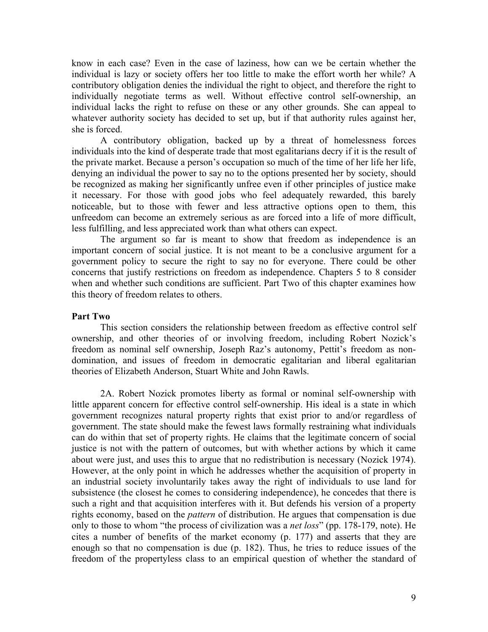know in each case? Even in the case of laziness, how can we be certain whether the individual is lazy or society offers her too little to make the effort worth her while? A contributory obligation denies the individual the right to object, and therefore the right to individually negotiate terms as well. Without effective control self-ownership, an individual lacks the right to refuse on these or any other grounds. She can appeal to whatever authority society has decided to set up, but if that authority rules against her, she is forced.

A contributory obligation, backed up by a threat of homelessness forces individuals into the kind of desperate trade that most egalitarians decry if it is the result of the private market. Because a person's occupation so much of the time of her life her life, denying an individual the power to say no to the options presented her by society, should be recognized as making her significantly unfree even if other principles of justice make it necessary. For those with good jobs who feel adequately rewarded, this barely noticeable, but to those with fewer and less attractive options open to them, this unfreedom can become an extremely serious as are forced into a life of more difficult, less fulfilling, and less appreciated work than what others can expect.

The argument so far is meant to show that freedom as independence is an important concern of social justice. It is not meant to be a conclusive argument for a government policy to secure the right to say no for everyone. There could be other concerns that justify restrictions on freedom as independence. Chapters 5 to 8 consider when and whether such conditions are sufficient. Part Two of this chapter examines how this theory of freedom relates to others.

#### **Part Two**

This section considers the relationship between freedom as effective control self ownership, and other theories of or involving freedom, including Robert Nozick's freedom as nominal self ownership, Joseph Raz's autonomy, Pettit's freedom as nondomination, and issues of freedom in democratic egalitarian and liberal egalitarian theories of Elizabeth Anderson, Stuart White and John Rawls.

2A. Robert Nozick promotes liberty as formal or nominal self-ownership with little apparent concern for effective control self-ownership. His ideal is a state in which government recognizes natural property rights that exist prior to and/or regardless of government. The state should make the fewest laws formally restraining what individuals can do within that set of property rights. He claims that the legitimate concern of social justice is not with the pattern of outcomes, but with whether actions by which it came about were just, and uses this to argue that no redistribution is necessary (Nozick 1974). However, at the only point in which he addresses whether the acquisition of property in an industrial society involuntarily takes away the right of individuals to use land for subsistence (the closest he comes to considering independence), he concedes that there is such a right and that acquisition interferes with it. But defends his version of a property rights economy, based on the *pattern* of distribution. He argues that compensation is due only to those to whom "the process of civilization was a *net loss*" (pp. 178-179, note). He cites a number of benefits of the market economy (p. 177) and asserts that they are enough so that no compensation is due (p. 182). Thus, he tries to reduce issues of the freedom of the propertyless class to an empirical question of whether the standard of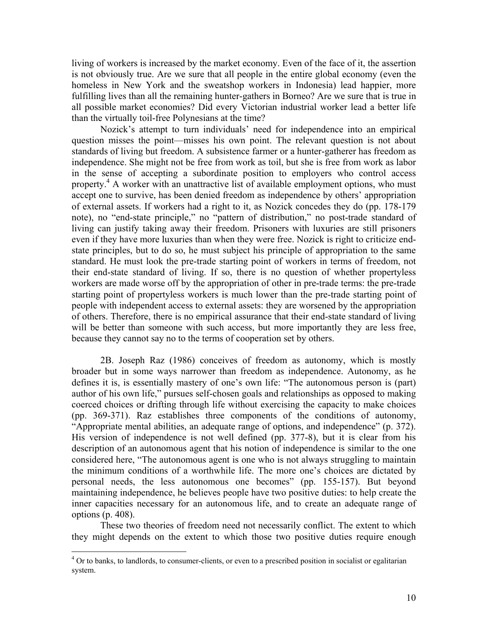living of workers is increased by the market economy. Even of the face of it, the assertion is not obviously true. Are we sure that all people in the entire global economy (even the homeless in New York and the sweatshop workers in Indonesia) lead happier, more fulfilling lives than all the remaining hunter-gathers in Borneo? Are we sure that is true in all possible market economies? Did every Victorian industrial worker lead a better life than the virtually toil-free Polynesians at the time?

Nozick's attempt to turn individuals' need for independence into an empirical question misses the point—misses his own point. The relevant question is not about standards of living but freedom. A subsistence farmer or a hunter-gatherer has freedom as independence. She might not be free from work as toil, but she is free from work as labor in the sense of accepting a subordinate position to employers who control access property.<sup>[4](#page-9-0)</sup> A worker with an unattractive list of available employment options, who must accept one to survive, has been denied freedom as independence by others' appropriation of external assets. If workers had a right to it, as Nozick concedes they do (pp. 178-179 note), no "end-state principle," no "pattern of distribution," no post-trade standard of living can justify taking away their freedom. Prisoners with luxuries are still prisoners even if they have more luxuries than when they were free. Nozick is right to criticize endstate principles, but to do so, he must subject his principle of appropriation to the same standard. He must look the pre-trade starting point of workers in terms of freedom, not their end-state standard of living. If so, there is no question of whether propertyless workers are made worse off by the appropriation of other in pre-trade terms: the pre-trade starting point of propertyless workers is much lower than the pre-trade starting point of people with independent access to external assets: they are worsened by the appropriation of others. Therefore, there is no empirical assurance that their end-state standard of living will be better than someone with such access, but more importantly they are less free, because they cannot say no to the terms of cooperation set by others.

2B. Joseph Raz (1986) conceives of freedom as autonomy, which is mostly broader but in some ways narrower than freedom as independence. Autonomy, as he defines it is, is essentially mastery of one's own life: "The autonomous person is (part) author of his own life," pursues self-chosen goals and relationships as opposed to making coerced choices or drifting through life without exercising the capacity to make choices (pp. 369-371). Raz establishes three components of the conditions of autonomy, "Appropriate mental abilities, an adequate range of options, and independence" (p. 372). His version of independence is not well defined (pp. 377-8), but it is clear from his description of an autonomous agent that his notion of independence is similar to the one considered here, "The autonomous agent is one who is not always struggling to maintain the minimum conditions of a worthwhile life. The more one's choices are dictated by personal needs, the less autonomous one becomes" (pp. 155-157). But beyond maintaining independence, he believes people have two positive duties: to help create the inner capacities necessary for an autonomous life, and to create an adequate range of options (p. 408).

These two theories of freedom need not necessarily conflict. The extent to which they might depends on the extent to which those two positive duties require enough

 $\overline{a}$ 

<span id="page-9-0"></span><sup>&</sup>lt;sup>4</sup> Or to banks, to landlords, to consumer-clients, or even to a prescribed position in socialist or egalitarian system.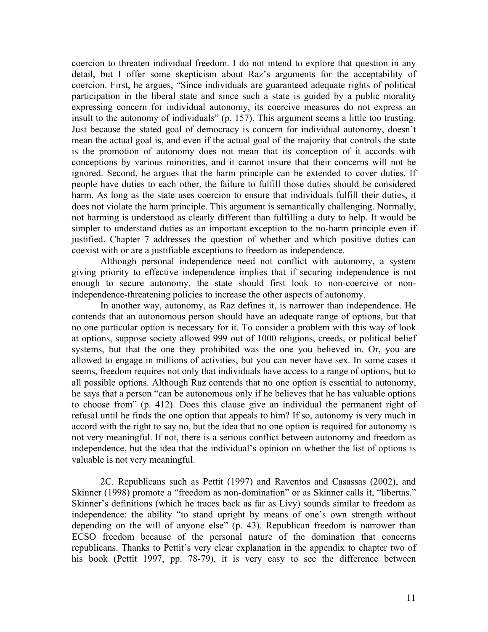coercion to threaten individual freedom. I do not intend to explore that question in any detail, but I offer some skepticism about Raz's arguments for the acceptability of coercion. First, he argues, "Since individuals are guaranteed adequate rights of political participation in the liberal state and since such a state is guided by a public morality expressing concern for individual autonomy, its coercive measures do not express an insult to the autonomy of individuals" (p. 157). This argument seems a little too trusting. Just because the stated goal of democracy is concern for individual autonomy, doesn't mean the actual goal is, and even if the actual goal of the majority that controls the state is the promotion of autonomy does not mean that its conception of it accords with conceptions by various minorities, and it cannot insure that their concerns will not be ignored. Second, he argues that the harm principle can be extended to cover duties. If people have duties to each other, the failure to fulfill those duties should be considered harm. As long as the state uses coercion to ensure that individuals fulfill their duties, it does not violate the harm principle. This argument is semantically challenging. Normally, not harming is understood as clearly different than fulfilling a duty to help. It would be simpler to understand duties as an important exception to the no-harm principle even if justified. Chapter 7 addresses the question of whether and which positive duties can coexist with or are a justifiable exceptions to freedom as independence.

Although personal independence need not conflict with autonomy, a system giving priority to effective independence implies that if securing independence is not enough to secure autonomy, the state should first look to non-coercive or nonindependence-threatening policies to increase the other aspects of autonomy.

In another way, autonomy, as Raz defines it, is narrower than independence. He contends that an autonomous person should have an adequate range of options, but that no one particular option is necessary for it. To consider a problem with this way of look at options, suppose society allowed 999 out of 1000 religions, creeds, or political belief systems, but that the one they prohibited was the one you believed in. Or, you are allowed to engage in millions of activities, but you can never have sex. In some cases it seems, freedom requires not only that individuals have access to a range of options, but to all possible options. Although Raz contends that no one option is essential to autonomy, he says that a person "can be autonomous only if he believes that he has valuable options to choose from" (p. 412). Does this clause give an individual the permanent right of refusal until he finds the one option that appeals to him? If so, autonomy is very much in accord with the right to say no, but the idea that no one option is required for autonomy is not very meaningful. If not, there is a serious conflict between autonomy and freedom as independence, but the idea that the individual's opinion on whether the list of options is valuable is not very meaningful.

2C. Republicans such as Pettit (1997) and Raventos and Casassas (2002), and Skinner (1998) promote a "freedom as non-domination" or as Skinner calls it, "libertas." Skinner's definitions (which he traces back as far as Livy) sounds similar to freedom as independence: the ability "to stand upright by means of one's own strength without depending on the will of anyone else" (p. 43). Republican freedom is narrower than ECSO freedom because of the personal nature of the domination that concerns republicans. Thanks to Pettit's very clear explanation in the appendix to chapter two of his book (Pettit 1997, pp. 78-79), it is very easy to see the difference between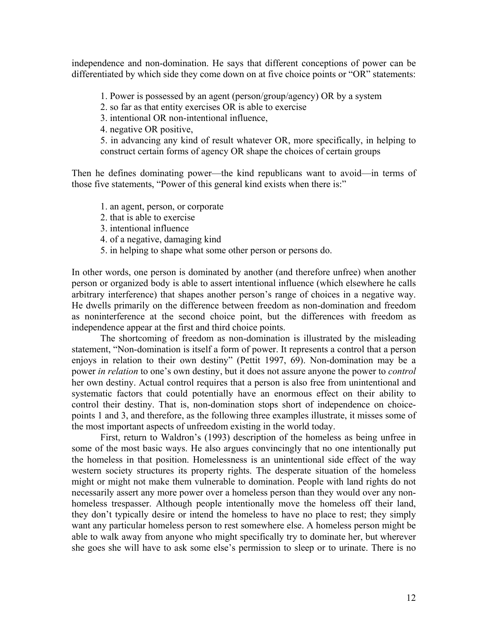independence and non-domination. He says that different conceptions of power can be differentiated by which side they come down on at five choice points or "OR" statements:

1. Power is possessed by an agent (person/group/agency) OR by a system

2. so far as that entity exercises OR is able to exercise

3. intentional OR non-intentional influence,

4. negative OR positive,

5. in advancing any kind of result whatever OR, more specifically, in helping to construct certain forms of agency OR shape the choices of certain groups

Then he defines dominating power—the kind republicans want to avoid—in terms of those five statements, "Power of this general kind exists when there is:"

1. an agent, person, or corporate

- 2. that is able to exercise
- 3. intentional influence
- 4. of a negative, damaging kind
- 5. in helping to shape what some other person or persons do.

In other words, one person is dominated by another (and therefore unfree) when another person or organized body is able to assert intentional influence (which elsewhere he calls arbitrary interference) that shapes another person's range of choices in a negative way. He dwells primarily on the difference between freedom as non-domination and freedom as noninterference at the second choice point, but the differences with freedom as independence appear at the first and third choice points.

The shortcoming of freedom as non-domination is illustrated by the misleading statement, "Non-domination is itself a form of power. It represents a control that a person enjoys in relation to their own destiny" (Pettit 1997, 69). Non-domination may be a power *in relation* to one's own destiny, but it does not assure anyone the power to *control* her own destiny. Actual control requires that a person is also free from unintentional and systematic factors that could potentially have an enormous effect on their ability to control their destiny. That is, non-domination stops short of independence on choicepoints 1 and 3, and therefore, as the following three examples illustrate, it misses some of the most important aspects of unfreedom existing in the world today.

First, return to Waldron's (1993) description of the homeless as being unfree in some of the most basic ways. He also argues convincingly that no one intentionally put the homeless in that position. Homelessness is an unintentional side effect of the way western society structures its property rights. The desperate situation of the homeless might or might not make them vulnerable to domination. People with land rights do not necessarily assert any more power over a homeless person than they would over any nonhomeless trespasser. Although people intentionally move the homeless off their land, they don't typically desire or intend the homeless to have no place to rest; they simply want any particular homeless person to rest somewhere else. A homeless person might be able to walk away from anyone who might specifically try to dominate her, but wherever she goes she will have to ask some else's permission to sleep or to urinate. There is no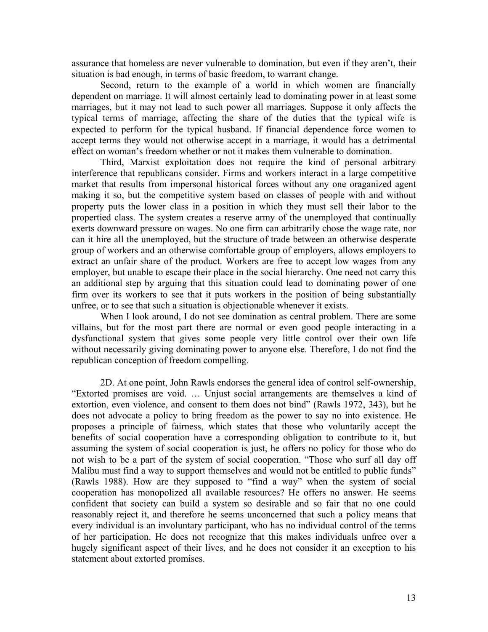assurance that homeless are never vulnerable to domination, but even if they aren't, their situation is bad enough, in terms of basic freedom, to warrant change.

Second, return to the example of a world in which women are financially dependent on marriage. It will almost certainly lead to dominating power in at least some marriages, but it may not lead to such power all marriages. Suppose it only affects the typical terms of marriage, affecting the share of the duties that the typical wife is expected to perform for the typical husband. If financial dependence force women to accept terms they would not otherwise accept in a marriage, it would has a detrimental effect on woman's freedom whether or not it makes them vulnerable to domination.

Third, Marxist exploitation does not require the kind of personal arbitrary interference that republicans consider. Firms and workers interact in a large competitive market that results from impersonal historical forces without any one oraganized agent making it so, but the competitive system based on classes of people with and without property puts the lower class in a position in which they must sell their labor to the propertied class. The system creates a reserve army of the unemployed that continually exerts downward pressure on wages. No one firm can arbitrarily chose the wage rate, nor can it hire all the unemployed, but the structure of trade between an otherwise desperate group of workers and an otherwise comfortable group of employers, allows employers to extract an unfair share of the product. Workers are free to accept low wages from any employer, but unable to escape their place in the social hierarchy. One need not carry this an additional step by arguing that this situation could lead to dominating power of one firm over its workers to see that it puts workers in the position of being substantially unfree, or to see that such a situation is objectionable whenever it exists.

When I look around, I do not see domination as central problem. There are some villains, but for the most part there are normal or even good people interacting in a dysfunctional system that gives some people very little control over their own life without necessarily giving dominating power to anyone else. Therefore, I do not find the republican conception of freedom compelling.

2D. At one point, John Rawls endorses the general idea of control self-ownership, "Extorted promises are void. … Unjust social arrangements are themselves a kind of extortion, even violence, and consent to them does not bind" (Rawls 1972, 343), but he does not advocate a policy to bring freedom as the power to say no into existence. He proposes a principle of fairness, which states that those who voluntarily accept the benefits of social cooperation have a corresponding obligation to contribute to it, but assuming the system of social cooperation is just, he offers no policy for those who do not wish to be a part of the system of social cooperation. "Those who surf all day off Malibu must find a way to support themselves and would not be entitled to public funds" (Rawls 1988). How are they supposed to "find a way" when the system of social cooperation has monopolized all available resources? He offers no answer. He seems confident that society can build a system so desirable and so fair that no one could reasonably reject it, and therefore he seems unconcerned that such a policy means that every individual is an involuntary participant, who has no individual control of the terms of her participation. He does not recognize that this makes individuals unfree over a hugely significant aspect of their lives, and he does not consider it an exception to his statement about extorted promises.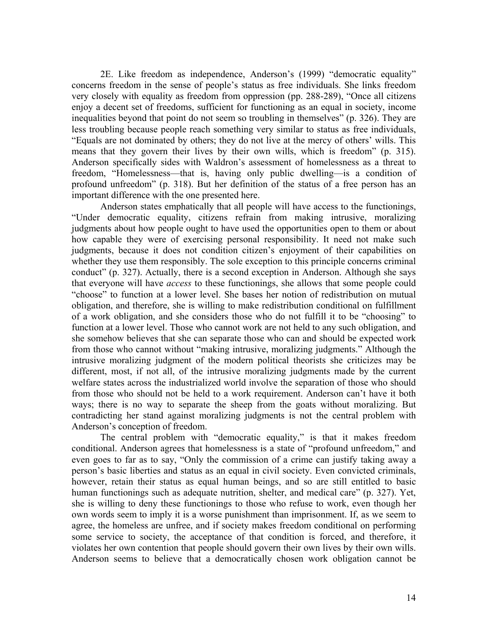2E. Like freedom as independence, Anderson's (1999) "democratic equality" concerns freedom in the sense of people's status as free individuals. She links freedom very closely with equality as freedom from oppression (pp. 288-289), "Once all citizens enjoy a decent set of freedoms, sufficient for functioning as an equal in society, income inequalities beyond that point do not seem so troubling in themselves" (p. 326). They are less troubling because people reach something very similar to status as free individuals, "Equals are not dominated by others; they do not live at the mercy of others' wills. This means that they govern their lives by their own wills, which is freedom" (p. 315). Anderson specifically sides with Waldron's assessment of homelessness as a threat to freedom, "Homelessness—that is, having only public dwelling—is a condition of profound unfreedom" (p. 318). But her definition of the status of a free person has an important difference with the one presented here.

Anderson states emphatically that all people will have access to the functionings, "Under democratic equality, citizens refrain from making intrusive, moralizing judgments about how people ought to have used the opportunities open to them or about how capable they were of exercising personal responsibility. It need not make such judgments, because it does not condition citizen's enjoyment of their capabilities on whether they use them responsibly. The sole exception to this principle concerns criminal conduct" (p. 327). Actually, there is a second exception in Anderson. Although she says that everyone will have *access* to these functionings, she allows that some people could "choose" to function at a lower level. She bases her notion of redistribution on mutual obligation, and therefore, she is willing to make redistribution conditional on fulfillment of a work obligation, and she considers those who do not fulfill it to be "choosing" to function at a lower level. Those who cannot work are not held to any such obligation, and she somehow believes that she can separate those who can and should be expected work from those who cannot without "making intrusive, moralizing judgments." Although the intrusive moralizing judgment of the modern political theorists she criticizes may be different, most, if not all, of the intrusive moralizing judgments made by the current welfare states across the industrialized world involve the separation of those who should from those who should not be held to a work requirement. Anderson can't have it both ways; there is no way to separate the sheep from the goats without moralizing. But contradicting her stand against moralizing judgments is not the central problem with Anderson's conception of freedom.

The central problem with "democratic equality," is that it makes freedom conditional. Anderson agrees that homelessness is a state of "profound unfreedom," and even goes to far as to say, "Only the commission of a crime can justify taking away a person's basic liberties and status as an equal in civil society. Even convicted criminals, however, retain their status as equal human beings, and so are still entitled to basic human functionings such as adequate nutrition, shelter, and medical care" (p. 327). Yet, she is willing to deny these functionings to those who refuse to work, even though her own words seem to imply it is a worse punishment than imprisonment. If, as we seem to agree, the homeless are unfree, and if society makes freedom conditional on performing some service to society, the acceptance of that condition is forced, and therefore, it violates her own contention that people should govern their own lives by their own wills. Anderson seems to believe that a democratically chosen work obligation cannot be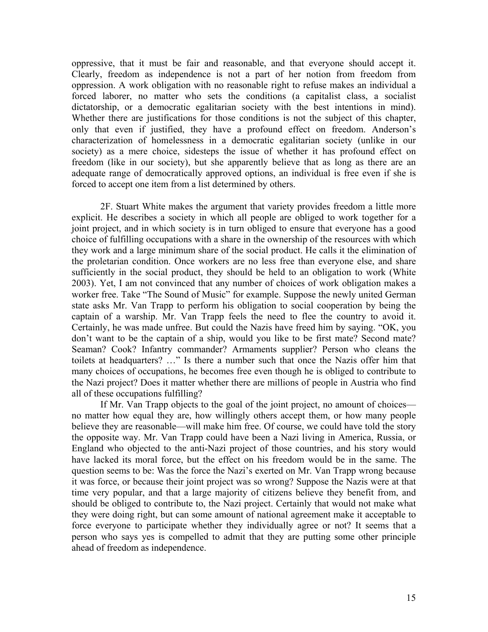oppressive, that it must be fair and reasonable, and that everyone should accept it. Clearly, freedom as independence is not a part of her notion from freedom from oppression. A work obligation with no reasonable right to refuse makes an individual a forced laborer, no matter who sets the conditions (a capitalist class, a socialist dictatorship, or a democratic egalitarian society with the best intentions in mind). Whether there are justifications for those conditions is not the subject of this chapter, only that even if justified, they have a profound effect on freedom. Anderson's characterization of homelessness in a democratic egalitarian society (unlike in our society) as a mere choice, sidesteps the issue of whether it has profound effect on freedom (like in our society), but she apparently believe that as long as there are an adequate range of democratically approved options, an individual is free even if she is forced to accept one item from a list determined by others.

2F. Stuart White makes the argument that variety provides freedom a little more explicit. He describes a society in which all people are obliged to work together for a joint project, and in which society is in turn obliged to ensure that everyone has a good choice of fulfilling occupations with a share in the ownership of the resources with which they work and a large minimum share of the social product. He calls it the elimination of the proletarian condition. Once workers are no less free than everyone else, and share sufficiently in the social product, they should be held to an obligation to work (White 2003). Yet, I am not convinced that any number of choices of work obligation makes a worker free. Take "The Sound of Music" for example. Suppose the newly united German state asks Mr. Van Trapp to perform his obligation to social cooperation by being the captain of a warship. Mr. Van Trapp feels the need to flee the country to avoid it. Certainly, he was made unfree. But could the Nazis have freed him by saying. "OK, you don't want to be the captain of a ship, would you like to be first mate? Second mate? Seaman? Cook? Infantry commander? Armaments supplier? Person who cleans the toilets at headquarters? …" Is there a number such that once the Nazis offer him that many choices of occupations, he becomes free even though he is obliged to contribute to the Nazi project? Does it matter whether there are millions of people in Austria who find all of these occupations fulfilling?

If Mr. Van Trapp objects to the goal of the joint project, no amount of choices no matter how equal they are, how willingly others accept them, or how many people believe they are reasonable—will make him free. Of course, we could have told the story the opposite way. Mr. Van Trapp could have been a Nazi living in America, Russia, or England who objected to the anti-Nazi project of those countries, and his story would have lacked its moral force, but the effect on his freedom would be in the same. The question seems to be: Was the force the Nazi's exerted on Mr. Van Trapp wrong because it was force, or because their joint project was so wrong? Suppose the Nazis were at that time very popular, and that a large majority of citizens believe they benefit from, and should be obliged to contribute to, the Nazi project. Certainly that would not make what they were doing right, but can some amount of national agreement make it acceptable to force everyone to participate whether they individually agree or not? It seems that a person who says yes is compelled to admit that they are putting some other principle ahead of freedom as independence.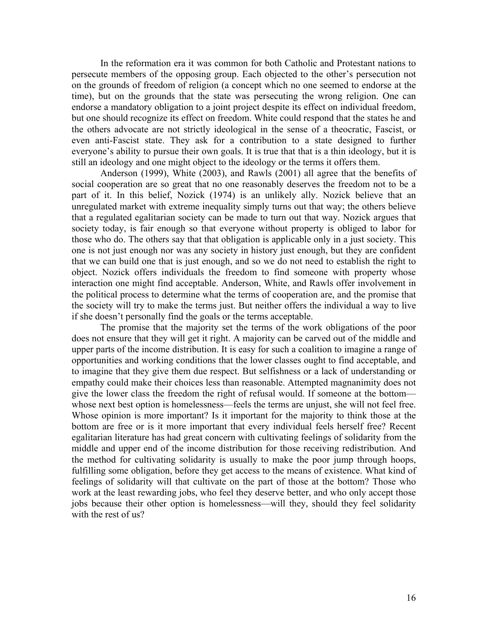In the reformation era it was common for both Catholic and Protestant nations to persecute members of the opposing group. Each objected to the other's persecution not on the grounds of freedom of religion (a concept which no one seemed to endorse at the time), but on the grounds that the state was persecuting the wrong religion. One can endorse a mandatory obligation to a joint project despite its effect on individual freedom, but one should recognize its effect on freedom. White could respond that the states he and the others advocate are not strictly ideological in the sense of a theocratic, Fascist, or even anti-Fascist state. They ask for a contribution to a state designed to further everyone's ability to pursue their own goals. It is true that that is a thin ideology, but it is still an ideology and one might object to the ideology or the terms it offers them.

Anderson (1999), White (2003), and Rawls (2001) all agree that the benefits of social cooperation are so great that no one reasonably deserves the freedom not to be a part of it. In this belief, Nozick (1974) is an unlikely ally. Nozick believe that an unregulated market with extreme inequality simply turns out that way; the others believe that a regulated egalitarian society can be made to turn out that way. Nozick argues that society today, is fair enough so that everyone without property is obliged to labor for those who do. The others say that that obligation is applicable only in a just society. This one is not just enough nor was any society in history just enough, but they are confident that we can build one that is just enough, and so we do not need to establish the right to object. Nozick offers individuals the freedom to find someone with property whose interaction one might find acceptable. Anderson, White, and Rawls offer involvement in the political process to determine what the terms of cooperation are, and the promise that the society will try to make the terms just. But neither offers the individual a way to live if she doesn't personally find the goals or the terms acceptable.

The promise that the majority set the terms of the work obligations of the poor does not ensure that they will get it right. A majority can be carved out of the middle and upper parts of the income distribution. It is easy for such a coalition to imagine a range of opportunities and working conditions that the lower classes ought to find acceptable, and to imagine that they give them due respect. But selfishness or a lack of understanding or empathy could make their choices less than reasonable. Attempted magnanimity does not give the lower class the freedom the right of refusal would. If someone at the bottom whose next best option is homelessness—feels the terms are unjust, she will not feel free. Whose opinion is more important? Is it important for the majority to think those at the bottom are free or is it more important that every individual feels herself free? Recent egalitarian literature has had great concern with cultivating feelings of solidarity from the middle and upper end of the income distribution for those receiving redistribution. And the method for cultivating solidarity is usually to make the poor jump through hoops, fulfilling some obligation, before they get access to the means of existence. What kind of feelings of solidarity will that cultivate on the part of those at the bottom? Those who work at the least rewarding jobs, who feel they deserve better, and who only accept those jobs because their other option is homelessness—will they, should they feel solidarity with the rest of us?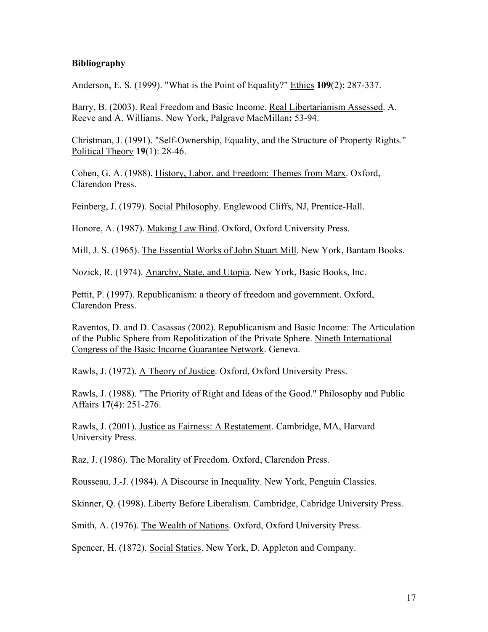## **Bibliography**

Anderson, E. S. (1999). "What is the Point of Equality?" Ethics **109**(2): 287-337.

Barry, B. (2003). Real Freedom and Basic Income. Real Libertarianism Assessed. A. Reeve and A. Williams. New York, Palgrave MacMillan**:** 53-94.

Christman, J. (1991). "Self-Ownership, Equality, and the Structure of Property Rights." Political Theory **19**(1): 28-46.

Cohen, G. A. (1988). History, Labor, and Freedom: Themes from Marx. Oxford, Clarendon Press.

Feinberg, J. (1979). Social Philosophy. Englewood Cliffs, NJ, Prentice-Hall.

Honore, A. (1987). Making Law Bind. Oxford, Oxford University Press.

Mill, J. S. (1965). The Essential Works of John Stuart Mill. New York, Bantam Books.

Nozick, R. (1974). Anarchy, State, and Utopia. New York, Basic Books, Inc.

Pettit, P. (1997). Republicanism: a theory of freedom and government. Oxford, Clarendon Press.

Raventos, D. and D. Casassas (2002). Republicanism and Basic Income: The Articulation of the Public Sphere from Repolitization of the Private Sphere. Nineth International Congress of the Basic Income Guarantee Network. Geneva.

Rawls, J. (1972). A Theory of Justice. Oxford, Oxford University Press.

Rawls, J. (1988). "The Priority of Right and Ideas of the Good." Philosophy and Public Affairs **17**(4): 251-276.

Rawls, J. (2001). Justice as Fairness: A Restatement. Cambridge, MA, Harvard University Press.

Raz, J. (1986). The Morality of Freedom. Oxford, Clarendon Press.

Rousseau, J.-J. (1984). A Discourse in Inequality. New York, Penguin Classics.

Skinner, Q. (1998). Liberty Before Liberalism. Cambridge, Cabridge University Press.

Smith, A. (1976). The Wealth of Nations. Oxford, Oxford University Press.

Spencer, H. (1872). Social Statics. New York, D. Appleton and Company.